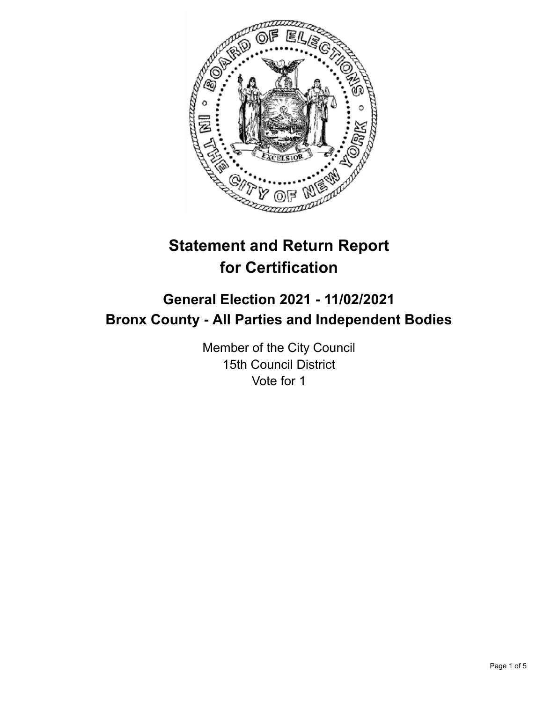

# **Statement and Return Report for Certification**

# **General Election 2021 - 11/02/2021 Bronx County - All Parties and Independent Bodies**

Member of the City Council 15th Council District Vote for 1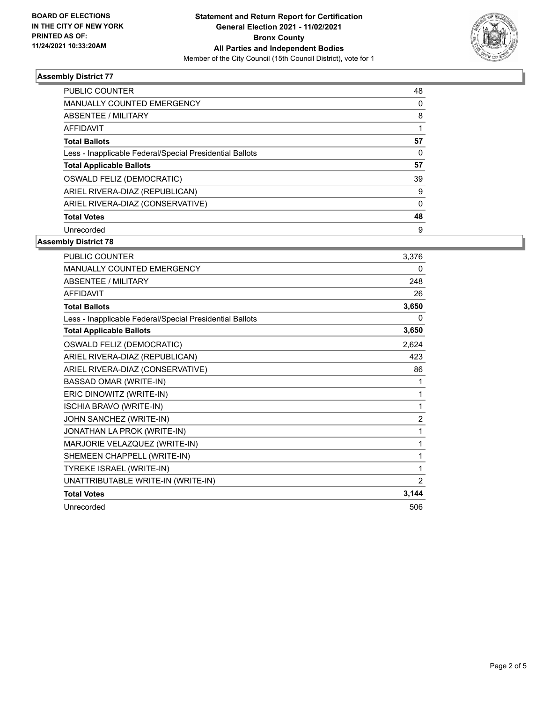

### **Assembly District 77**

| <b>PUBLIC COUNTER</b>                                    | 48       |
|----------------------------------------------------------|----------|
| <b>MANUALLY COUNTED EMERGENCY</b>                        | 0        |
| ABSENTEE / MILITARY                                      | 8        |
| AFFIDAVIT                                                |          |
| <b>Total Ballots</b>                                     | 57       |
| Less - Inapplicable Federal/Special Presidential Ballots | $\Omega$ |
| <b>Total Applicable Ballots</b>                          | 57       |
| OSWALD FELIZ (DEMOCRATIC)                                | 39       |
| ARIEL RIVERA-DIAZ (REPUBLICAN)                           | 9        |
| ARIEL RIVERA-DIAZ (CONSERVATIVE)                         | 0        |
| <b>Total Votes</b>                                       | 48       |
| Unrecorded                                               | 9        |

## **Assembly District 78**

| PUBLIC COUNTER                                           | 3,376          |
|----------------------------------------------------------|----------------|
| MANUALLY COUNTED EMERGENCY                               | 0              |
| <b>ABSENTEE / MILITARY</b>                               | 248            |
| <b>AFFIDAVIT</b>                                         | 26             |
| <b>Total Ballots</b>                                     | 3,650          |
| Less - Inapplicable Federal/Special Presidential Ballots | 0              |
| <b>Total Applicable Ballots</b>                          | 3,650          |
| OSWALD FELIZ (DEMOCRATIC)                                | 2,624          |
| ARIEL RIVERA-DIAZ (REPUBLICAN)                           | 423            |
| ARIEL RIVERA-DIAZ (CONSERVATIVE)                         | 86             |
| <b>BASSAD OMAR (WRITE-IN)</b>                            | 1              |
| ERIC DINOWITZ (WRITE-IN)                                 | 1              |
| <b>ISCHIA BRAVO (WRITE-IN)</b>                           | 1              |
| JOHN SANCHEZ (WRITE-IN)                                  | $\overline{c}$ |
| JONATHAN LA PROK (WRITE-IN)                              | 1              |
| MARJORIE VELAZQUEZ (WRITE-IN)                            | 1              |
| SHEMEEN CHAPPELL (WRITE-IN)                              | 1              |
| TYREKE ISRAEL (WRITE-IN)                                 | 1              |
| UNATTRIBUTABLE WRITE-IN (WRITE-IN)                       | 2              |
| <b>Total Votes</b>                                       | 3,144          |
| Unrecorded                                               | 506            |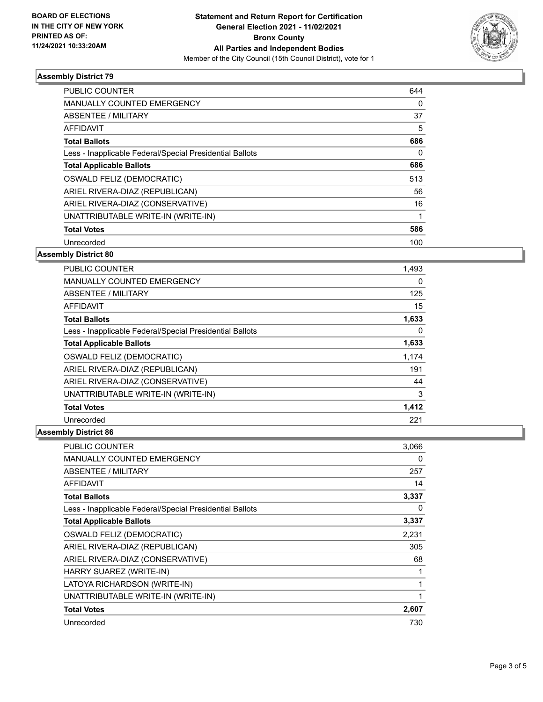

### **Assembly District 79**

| <b>PUBLIC COUNTER</b>                                    | 644 |
|----------------------------------------------------------|-----|
| <b>MANUALLY COUNTED EMERGENCY</b>                        | 0   |
| ABSENTEE / MILITARY                                      | 37  |
| AFFIDAVIT                                                | 5   |
| <b>Total Ballots</b>                                     | 686 |
| Less - Inapplicable Federal/Special Presidential Ballots | 0   |
| <b>Total Applicable Ballots</b>                          | 686 |
| <b>OSWALD FELIZ (DEMOCRATIC)</b>                         | 513 |
| ARIEL RIVERA-DIAZ (REPUBLICAN)                           | 56  |
| ARIEL RIVERA-DIAZ (CONSERVATIVE)                         | 16  |
| UNATTRIBUTABLE WRITE-IN (WRITE-IN)                       |     |
| <b>Total Votes</b>                                       | 586 |
| Unrecorded                                               | 100 |

#### **Assembly District 80**

| <b>PUBLIC COUNTER</b>                                    | 1,493 |
|----------------------------------------------------------|-------|
| <b>MANUALLY COUNTED EMERGENCY</b>                        | 0     |
| ABSENTEE / MILITARY                                      | 125   |
| <b>AFFIDAVIT</b>                                         | 15    |
| <b>Total Ballots</b>                                     | 1,633 |
| Less - Inapplicable Federal/Special Presidential Ballots | 0     |
| <b>Total Applicable Ballots</b>                          | 1,633 |
| OSWALD FELIZ (DEMOCRATIC)                                | 1,174 |
| ARIEL RIVERA-DIAZ (REPUBLICAN)                           | 191   |
| ARIEL RIVERA-DIAZ (CONSERVATIVE)                         | 44    |
| UNATTRIBUTABLE WRITE-IN (WRITE-IN)                       | 3     |
| <b>Total Votes</b>                                       | 1,412 |
| Unrecorded                                               | 221   |

### **Assembly District 86**

| <b>PUBLIC COUNTER</b>                                    | 3,066 |
|----------------------------------------------------------|-------|
| MANUALLY COUNTED EMERGENCY                               | 0     |
| ABSENTEE / MILITARY                                      | 257   |
| <b>AFFIDAVIT</b>                                         | 14    |
| <b>Total Ballots</b>                                     | 3,337 |
| Less - Inapplicable Federal/Special Presidential Ballots | 0     |
| <b>Total Applicable Ballots</b>                          | 3,337 |
| OSWALD FELIZ (DEMOCRATIC)                                | 2,231 |
| ARIEL RIVERA-DIAZ (REPUBLICAN)                           | 305   |
| ARIEL RIVERA-DIAZ (CONSERVATIVE)                         | 68    |
| HARRY SUAREZ (WRITE-IN)                                  |       |
| LATOYA RICHARDSON (WRITE-IN)                             | 1     |
| UNATTRIBUTABLE WRITE-IN (WRITE-IN)                       | 1     |
| <b>Total Votes</b>                                       | 2,607 |
| Unrecorded                                               | 730   |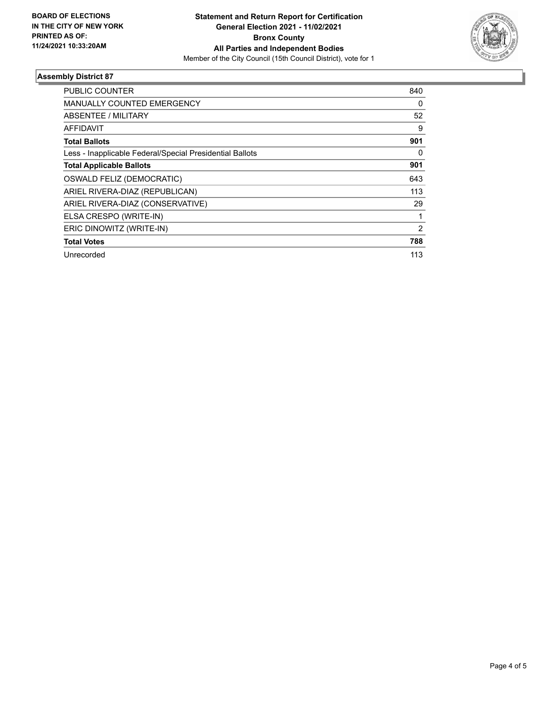

### **Assembly District 87**

| <b>PUBLIC COUNTER</b>                                    | 840            |
|----------------------------------------------------------|----------------|
| <b>MANUALLY COUNTED EMERGENCY</b>                        | 0              |
| <b>ABSENTEE / MILITARY</b>                               | 52             |
| AFFIDAVIT                                                | 9              |
| <b>Total Ballots</b>                                     | 901            |
| Less - Inapplicable Federal/Special Presidential Ballots | 0              |
| <b>Total Applicable Ballots</b>                          | 901            |
| OSWALD FELIZ (DEMOCRATIC)                                | 643            |
| ARIEL RIVERA-DIAZ (REPUBLICAN)                           | 113            |
| ARIEL RIVERA-DIAZ (CONSERVATIVE)                         | 29             |
| ELSA CRESPO (WRITE-IN)                                   |                |
| ERIC DINOWITZ (WRITE-IN)                                 | $\overline{2}$ |
| <b>Total Votes</b>                                       | 788            |
| Unrecorded                                               | 113            |